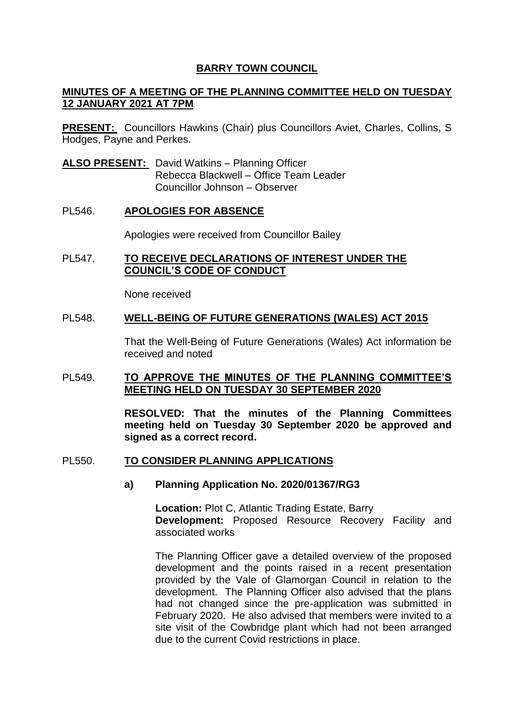# **BARRY TOWN COUNCIL**

# **MINUTES OF A MEETING OF THE PLANNING COMMITTEE HELD ON TUESDAY 12 JANUARY 2021 AT 7PM**

**PRESENT:** Councillors Hawkins (Chair) plus Councillors Aviet, Charles, Collins, S Hodges, Payne and Perkes.

**ALSO PRESENT:** David Watkins – Planning Officer Rebecca Blackwell – Office Team Leader Councillor Johnson – Observer

### PL546. **APOLOGIES FOR ABSENCE**

Apologies were received from Councillor Bailey

### PL547. **TO RECEIVE DECLARATIONS OF INTEREST UNDER THE COUNCIL'S CODE OF CONDUCT**

None received

#### PL548. **WELL-BEING OF FUTURE GENERATIONS (WALES) ACT 2015**

That the Well-Being of Future Generations (Wales) Act information be received and noted

### PL549. **TO APPROVE THE MINUTES OF THE PLANNING COMMITTEE'S MEETING HELD ON TUESDAY 30 SEPTEMBER 2020**

**RESOLVED: That the minutes of the Planning Committees meeting held on Tuesday 30 September 2020 be approved and signed as a correct record.** 

#### PL550. **TO CONSIDER PLANNING APPLICATIONS**

#### **a) Planning Application No. 2020/01367/RG3**

**Location:** Plot C, Atlantic Trading Estate, Barry **Development:** Proposed Resource Recovery Facility and associated works

The Planning Officer gave a detailed overview of the proposed development and the points raised in a recent presentation provided by the Vale of Glamorgan Council in relation to the development. The Planning Officer also advised that the plans had not changed since the pre-application was submitted in February 2020. He also advised that members were invited to a site visit of the Cowbridge plant which had not been arranged due to the current Covid restrictions in place.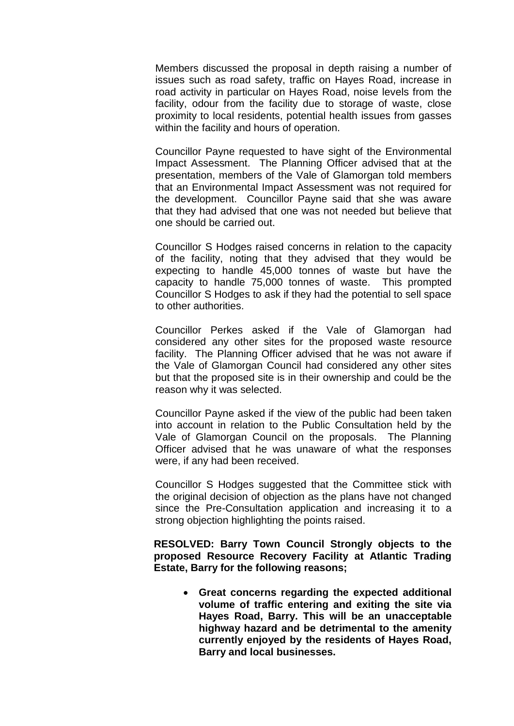Members discussed the proposal in depth raising a number of issues such as road safety, traffic on Hayes Road, increase in road activity in particular on Hayes Road, noise levels from the facility, odour from the facility due to storage of waste, close proximity to local residents, potential health issues from gasses within the facility and hours of operation.

Councillor Payne requested to have sight of the Environmental Impact Assessment. The Planning Officer advised that at the presentation, members of the Vale of Glamorgan told members that an Environmental Impact Assessment was not required for the development. Councillor Payne said that she was aware that they had advised that one was not needed but believe that one should be carried out.

Councillor S Hodges raised concerns in relation to the capacity of the facility, noting that they advised that they would be expecting to handle 45,000 tonnes of waste but have the capacity to handle 75,000 tonnes of waste. This prompted Councillor S Hodges to ask if they had the potential to sell space to other authorities.

Councillor Perkes asked if the Vale of Glamorgan had considered any other sites for the proposed waste resource facility. The Planning Officer advised that he was not aware if the Vale of Glamorgan Council had considered any other sites but that the proposed site is in their ownership and could be the reason why it was selected.

Councillor Payne asked if the view of the public had been taken into account in relation to the Public Consultation held by the Vale of Glamorgan Council on the proposals. The Planning Officer advised that he was unaware of what the responses were, if any had been received.

Councillor S Hodges suggested that the Committee stick with the original decision of objection as the plans have not changed since the Pre-Consultation application and increasing it to a strong objection highlighting the points raised.

**RESOLVED: Barry Town Council Strongly objects to the proposed Resource Recovery Facility at Atlantic Trading Estate, Barry for the following reasons;**

 **Great concerns regarding the expected additional volume of traffic entering and exiting the site via Hayes Road, Barry. This will be an unacceptable highway hazard and be detrimental to the amenity currently enjoyed by the residents of Hayes Road, Barry and local businesses.**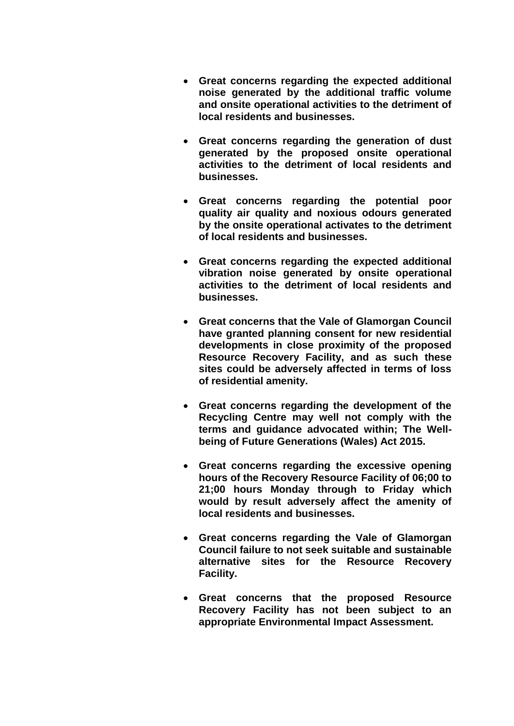- **Great concerns regarding the expected additional noise generated by the additional traffic volume and onsite operational activities to the detriment of local residents and businesses.**
- **Great concerns regarding the generation of dust generated by the proposed onsite operational activities to the detriment of local residents and businesses.**
- **Great concerns regarding the potential poor quality air quality and noxious odours generated by the onsite operational activates to the detriment of local residents and businesses.**
- **Great concerns regarding the expected additional vibration noise generated by onsite operational activities to the detriment of local residents and businesses.**
- **Great concerns that the Vale of Glamorgan Council have granted planning consent for new residential developments in close proximity of the proposed Resource Recovery Facility, and as such these sites could be adversely affected in terms of loss of residential amenity.**
- **Great concerns regarding the development of the Recycling Centre may well not comply with the terms and guidance advocated within; The Wellbeing of Future Generations (Wales) Act 2015.**
- **Great concerns regarding the excessive opening hours of the Recovery Resource Facility of 06;00 to 21;00 hours Monday through to Friday which would by result adversely affect the amenity of local residents and businesses.**
- **Great concerns regarding the Vale of Glamorgan Council failure to not seek suitable and sustainable alternative sites for the Resource Recovery Facility.**
- **Great concerns that the proposed Resource Recovery Facility has not been subject to an appropriate Environmental Impact Assessment.**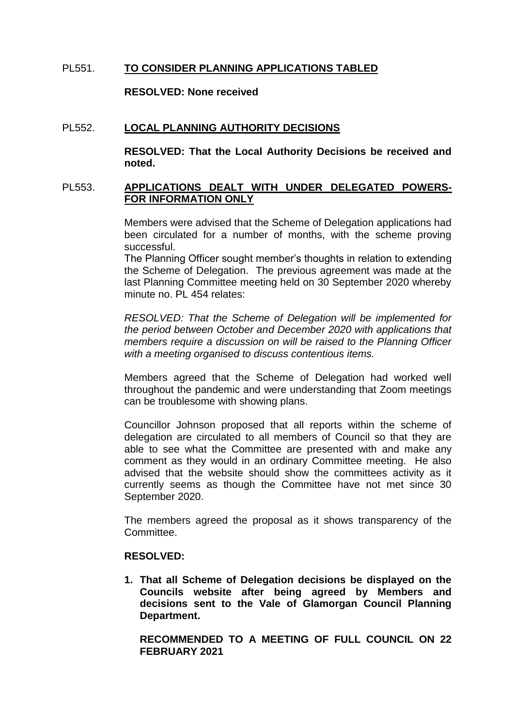## PL551. **TO CONSIDER PLANNING APPLICATIONS TABLED**

**RESOLVED: None received** 

### PL552. **LOCAL PLANNING AUTHORITY DECISIONS**

**RESOLVED: That the Local Authority Decisions be received and noted.** 

### PL553. **APPLICATIONS DEALT WITH UNDER DELEGATED POWERS-FOR INFORMATION ONLY**

Members were advised that the Scheme of Delegation applications had been circulated for a number of months, with the scheme proving successful.

The Planning Officer sought member's thoughts in relation to extending the Scheme of Delegation. The previous agreement was made at the last Planning Committee meeting held on 30 September 2020 whereby minute no. PL 454 relates:

*RESOLVED: That the Scheme of Delegation will be implemented for the period between October and December 2020 with applications that members require a discussion on will be raised to the Planning Officer with a meeting organised to discuss contentious items.* 

Members agreed that the Scheme of Delegation had worked well throughout the pandemic and were understanding that Zoom meetings can be troublesome with showing plans.

Councillor Johnson proposed that all reports within the scheme of delegation are circulated to all members of Council so that they are able to see what the Committee are presented with and make any comment as they would in an ordinary Committee meeting. He also advised that the website should show the committees activity as it currently seems as though the Committee have not met since 30 September 2020.

The members agreed the proposal as it shows transparency of the Committee.

#### **RESOLVED:**

**1. That all Scheme of Delegation decisions be displayed on the Councils website after being agreed by Members and decisions sent to the Vale of Glamorgan Council Planning Department.**

**RECOMMENDED TO A MEETING OF FULL COUNCIL ON 22 FEBRUARY 2021**